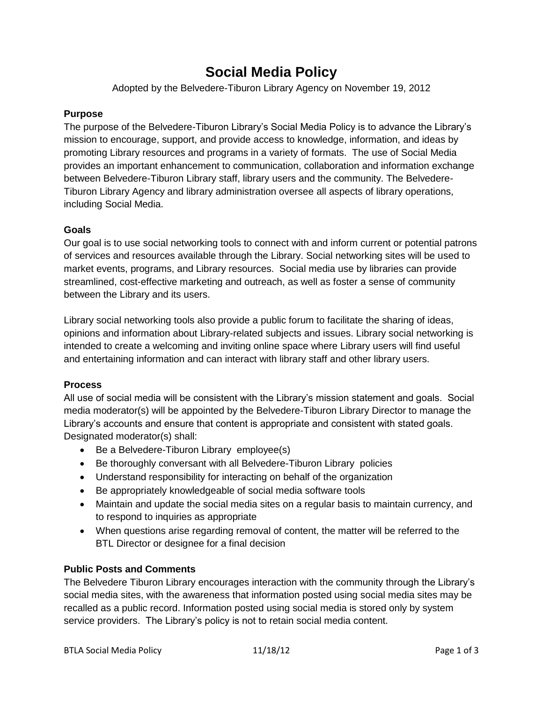# **Social Media Policy**

Adopted by the Belvedere-Tiburon Library Agency on November 19, 2012

## **Purpose**

The purpose of the Belvedere-Tiburon Library's Social Media Policy is to advance the Library's mission to encourage, support, and provide access to knowledge, information, and ideas by promoting Library resources and programs in a variety of formats. The use of Social Media provides an important enhancement to communication, collaboration and information exchange between Belvedere-Tiburon Library staff, library users and the community. The Belvedere-Tiburon Library Agency and library administration oversee all aspects of library operations, including Social Media.

### **Goals**

Our goal is to use social networking tools to connect with and inform current or potential patrons of services and resources available through the Library. Social networking sites will be used to market events, programs, and Library resources. Social media use by libraries can provide streamlined, cost-effective marketing and outreach, as well as foster a sense of community between the Library and its users.

Library social networking tools also provide a public forum to facilitate the sharing of ideas, opinions and information about Library-related subjects and issues. Library social networking is intended to create a welcoming and inviting online space where Library users will find useful and entertaining information and can interact with library staff and other library users.

#### **Process**

All use of social media will be consistent with the Library's mission statement and goals. Social media moderator(s) will be appointed by the Belvedere-Tiburon Library Director to manage the Library's accounts and ensure that content is appropriate and consistent with stated goals. Designated moderator(s) shall:

- Be a Belvedere-Tiburon Library employee(s)
- Be thoroughly conversant with all Belvedere-Tiburon Library policies
- Understand responsibility for interacting on behalf of the organization
- Be appropriately knowledgeable of social media software tools
- Maintain and update the social media sites on a regular basis to maintain currency, and to respond to inquiries as appropriate
- When questions arise regarding removal of content, the matter will be referred to the BTL Director or designee for a final decision

## **Public Posts and Comments**

The Belvedere Tiburon Library encourages interaction with the community through the Library's social media sites, with the awareness that information posted using social media sites may be recalled as a public record. Information posted using social media is stored only by system service providers. The Library's policy is not to retain social media content.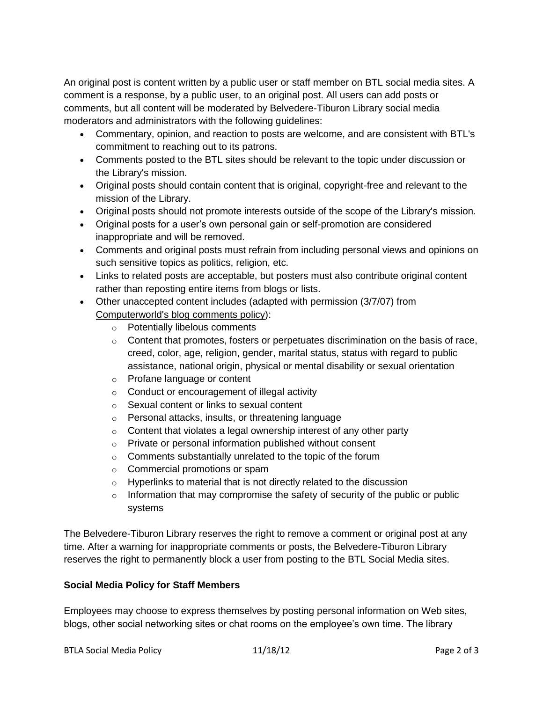An original post is content written by a public user or staff member on BTL social media sites. A comment is a response, by a public user, to an original post. All users can add posts or comments, but all content will be moderated by Belvedere-Tiburon Library social media moderators and administrators with the following guidelines:

- Commentary, opinion, and reaction to posts are welcome, and are consistent with BTL's commitment to reaching out to its patrons.
- Comments posted to the BTL sites should be relevant to the topic under discussion or the Library's mission.
- Original posts should contain content that is original, copyright-free and relevant to the mission of the Library.
- Original posts should not promote interests outside of the scope of the Library's mission.
- Original posts for a user's own personal gain or self-promotion are considered inappropriate and will be removed.
- Comments and original posts must refrain from including personal views and opinions on such sensitive topics as politics, religion, etc.
- Links to related posts are acceptable, but posters must also contribute original content rather than reposting entire items from blogs or lists.
- Other unaccepted content includes (adapted with permission (3/7/07) from [Computerworld's blog comments policy\)](http://blogs.computerworld.com/commentspolicy):
	- o Potentially libelous comments
	- $\circ$  Content that promotes, fosters or perpetuates discrimination on the basis of race, creed, color, age, religion, gender, marital status, status with regard to public assistance, national origin, physical or mental disability or sexual orientation
	- o Profane language or content
	- o Conduct or encouragement of illegal activity
	- o Sexual content or links to sexual content
	- o Personal attacks, insults, or threatening language
	- $\circ$  Content that violates a legal ownership interest of any other party
	- o Private or personal information published without consent
	- o Comments substantially unrelated to the topic of the forum
	- o Commercial promotions or spam
	- o Hyperlinks to material that is not directly related to the discussion
	- $\circ$  Information that may compromise the safety of security of the public or public systems

The Belvedere-Tiburon Library reserves the right to remove a comment or original post at any time. After a warning for inappropriate comments or posts, the Belvedere-Tiburon Library reserves the right to permanently block a user from posting to the BTL Social Media sites.

## **Social Media Policy for Staff Members**

Employees may choose to express themselves by posting personal information on Web sites, blogs, other social networking sites or chat rooms on the employee's own time. The library